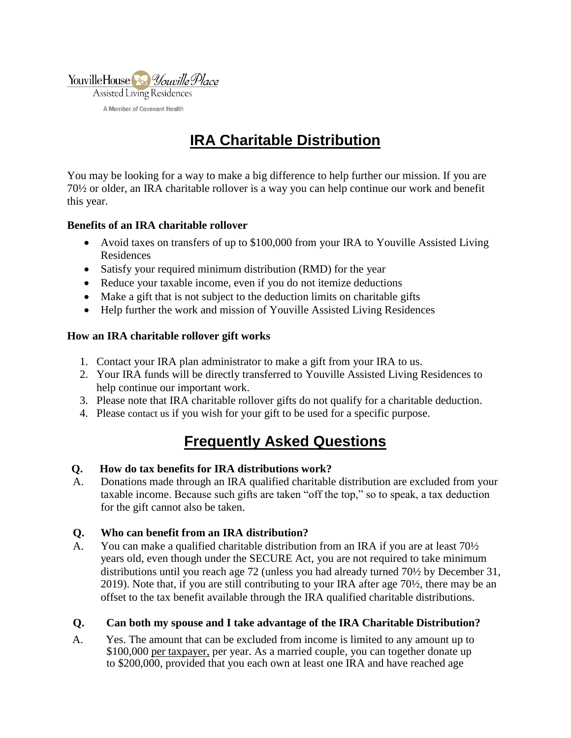

# **IRA Charitable Distribution**

You may be looking for a way to make a big difference to help further our mission. If you are 70½ or older, an IRA charitable rollover is a way you can help continue our work and benefit this year.

### **Benefits of an IRA charitable rollover**

- Avoid taxes on transfers of up to \$100,000 from your IRA to Youville Assisted Living Residences
- Satisfy your required minimum distribution (RMD) for the year
- Reduce your taxable income, even if you do not itemize deductions
- Make a gift that is not subject to the deduction limits on charitable gifts
- Help further the work and mission of Youville Assisted Living Residences

## **How an IRA charitable rollover gift works**

- 1. Contact your IRA plan administrator to make a gift from your IRA to us.
- 2. Your IRA funds will be directly transferred to Youville Assisted Living Residences to help continue our important work.
- 3. Please note that IRA charitable rollover gifts do not qualify for a charitable deduction.
- 4. Please [contact us](https://intermountainlegacy.org/?pageID=21) if you wish for your gift to be used for a specific purpose.

# **Frequently Asked Questions**

### **Q. How do tax benefits for IRA distributions work?**

A. Donations made through an IRA qualified charitable distribution are excluded from your taxable income. Because such gifts are taken "off the top," so to speak, a tax deduction for the gift cannot also be taken.

### **Q. Who can benefit from an IRA distribution?**

A. You can make a qualified charitable distribution from an IRA if you are at least 70½ years old, even though under the SECURE Act, you are not required to take minimum distributions until you reach age 72 (unless you had already turned 70½ by December 31, 2019). Note that, if you are still contributing to your IRA after age 70½, there may be an offset to the tax benefit available through the IRA qualified charitable distributions.

### **Q. Can both my spouse and I take advantage of the IRA Charitable Distribution?**

A. Yes. The amount that can be excluded from income is limited to any amount up to \$100,000 per taxpayer, per year. As a married couple, you can together donate up to \$200,000, provided that you each own at least one IRA and have reached age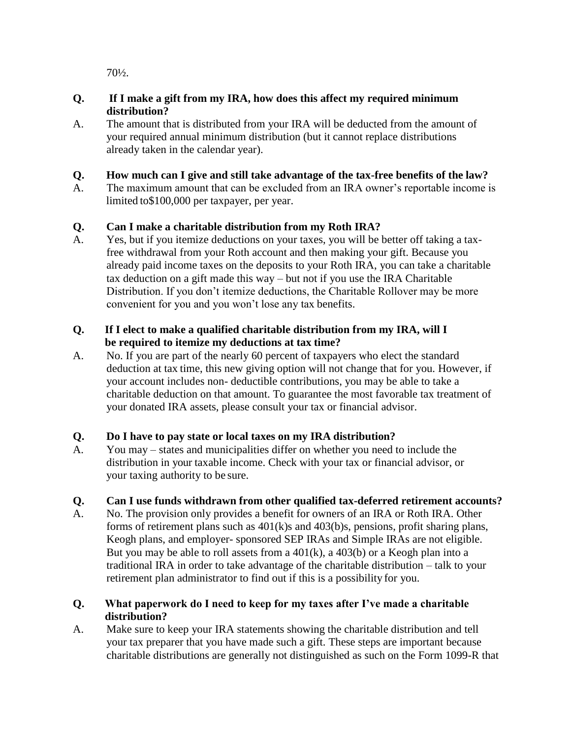70½.

## **Q. If I make a gift from my IRA, how does this affect my required minimum distribution?**

A. The amount that is distributed from your IRA will be deducted from the amount of your required annual minimum distribution (but it cannot replace distributions already taken in the calendar year).

# **Q. How much can I give and still take advantage of the tax-free benefits of the law?**

A. The maximum amount that can be excluded from an IRA owner's reportable income is limited to\$100,000 per taxpayer, per year.

## **Q. Can I make a charitable distribution from my Roth IRA?**

A. Yes, but if you itemize deductions on your taxes, you will be better off taking a taxfree withdrawal from your Roth account and then making your gift. Because you already paid income taxes on the deposits to your Roth IRA, you can take a charitable tax deduction on a gift made this way – but not if you use the IRA Charitable Distribution. If you don't itemize deductions, the Charitable Rollover may be more convenient for you and you won't lose any tax benefits.

## **Q. If I elect to make a qualified charitable distribution from my IRA, will I be required to itemize my deductions at tax time?**

A. No. If you are part of the nearly 60 percent of taxpayers who elect the standard deduction at tax time, this new giving option will not change that for you. However, if your account includes non- deductible contributions, you may be able to take a charitable deduction on that amount. To guarantee the most favorable tax treatment of your donated IRA assets, please consult your tax or financial advisor.

# **Q. Do I have to pay state or local taxes on my IRA distribution?**

A. You may – states and municipalities differ on whether you need to include the distribution in your taxable income. Check with your tax or financial advisor, or your taxing authority to be sure.

# **Q. Can I use funds withdrawn from other qualified tax-deferred retirement accounts?**

A. No. The provision only provides a benefit for owners of an IRA or Roth IRA. Other forms of retirement plans such as 401(k)s and 403(b)s, pensions, profit sharing plans, Keogh plans, and employer- sponsored SEP IRAs and Simple IRAs are not eligible. But you may be able to roll assets from a  $401(k)$ , a  $403(b)$  or a Keogh plan into a traditional IRA in order to take advantage of the charitable distribution – talk to your retirement plan administrator to find out if this is a possibility for you.

## **Q. What paperwork do I need to keep for my taxes after I've made a charitable distribution?**

A. Make sure to keep your IRA statements showing the charitable distribution and tell your tax preparer that you have made such a gift. These steps are important because charitable distributions are generally not distinguished as such on the Form 1099-R that